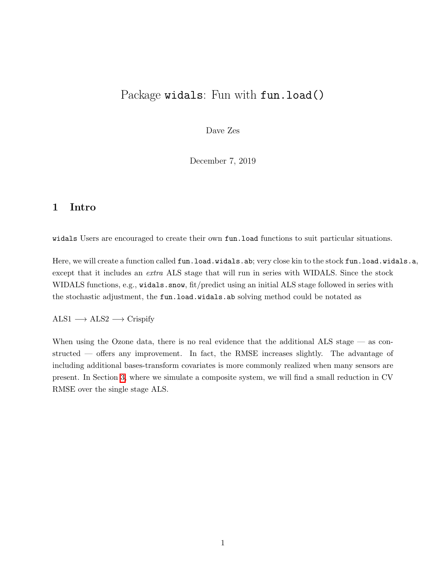# Package widals: Fun with fun.load()

Dave Zes

December 7, 2019

#### 1 Intro

widals Users are encouraged to create their own fun.load functions to suit particular situations.

Here, we will create a function called fun.load.widals.ab; very close kin to the stock fun.load.widals.a, except that it includes an *extra* ALS stage that will run in series with WIDALS. Since the stock WIDALS functions, e.g., widals.snow, fit/predict using an initial ALS stage followed in series with the stochastic adjustment, the fun.load.widals.ab solving method could be notated as

#### $ALS1 \longrightarrow ALS2 \longrightarrow Crispify$

When using the Ozone data, there is no real evidence that the additional ALS stage — as constructed — offers any improvement. In fact, the RMSE increases slightly. The advantage of including additional bases-transform covariates is more commonly realized when many sensors are present. In Section  $3$ , where we simulate a composite system, we will find a small reduction in CV RMSE over the single stage ALS.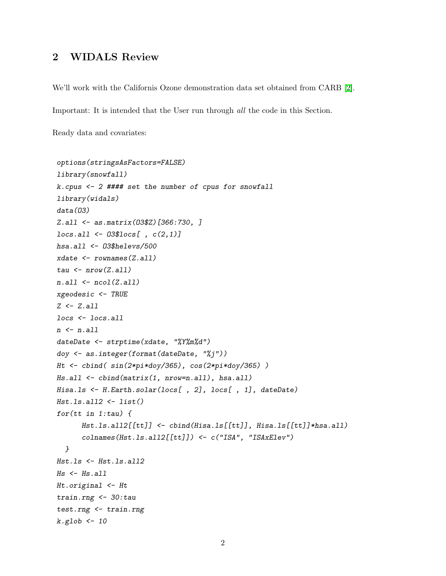## 2 WIDALS Review

We'll work with the Californis Ozone demonstration data set obtained from CARB [\[2\]](#page-11-0).

Important: It is intended that the User run through all the code in this Section.

Ready data and covariates:

```
options(stringsAsFactors=FALSE)
library(snowfall)
k.cpus <- 2 #### set the number of cpus for snowfall
library(widals)
data(O3)
Z.all <- as.matrix(O3$Z)[366:730, ]
locs.all <- O3$locs[ , c(2,1)]
hsa.all <- O3$helevs/500
xdate <- rownames(Z.all)
tau <- nrow(Z.all)
n.all <- ncol(Z.all)
xgeodesic <- TRUE
Z <- Z.all
locs <- locs.all
n <- n.all
dateDate <- strptime(xdate, "%Y%m%d")
doy <- as.integer(format(dateDate, "%j"))
Ht <- cbind( sin(2*pi*doy/365), cos(2*pi*doy/365) )
Hs.all <- cbind(matrix(1, nrow=n.all), hsa.all)
Hisa.ls <- H.Earth.solar(locs[ , 2], locs[ , 1], dateDate)
Hst.ls.all2 <- list()
for(tt in 1:tau) {
      Hst.ls.all2[[tt]] <- cbind(Hisa.ls[[tt]], Hisa.ls[[tt]]*hsa.all)
      colnames(Hst.ls.all2[[tt]]) <- c("ISA", "ISAxElev")
  }
Hst.ls <- Hst.ls.all2
Hs <- Hs.all
Ht.original <- Ht
train.rng <- 30:tau
test.rng <- train.rng
k.glob <- 10
```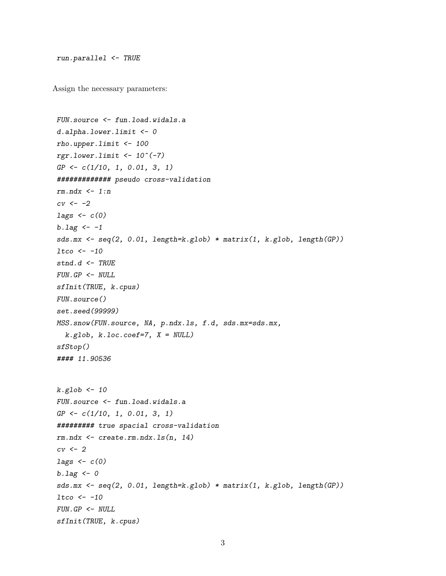```
run.parallel <- TRUE
```
Assign the necessary parameters:

```
FUN.source <- fun.load.widals.a
d.alpha.lower.limit <- 0
rho.upper.limit <- 100
rgr.lower.limit <- 10^(-7)
GP <- c(1/10, 1, 0.01, 3, 1)
############# pseudo cross-validation
rm.ndx <- 1:n
cv <- -2
lags <- c(0)
b.lag <- -1
sds.mx <- seq(2, 0.01, length=k.glob) * matrix(1, k.glob, length(GP))
ltco <- -10
stnd.d <- TRUE
FUN.GP <- NULL
sfInit(TRUE, k.cpus)
FUN.source()
set.seed(99999)
MSS.snow(FUN.source, NA, p.ndx.ls, f.d, sds.mx=sds.mx,
  k.glob, k.loc.coef=7, X = NULL)
sfStop()
#### 11.90536
k.glob <- 10
FUN.source <- fun.load.widals.a
GP <- c(1/10, 1, 0.01, 3, 1)
######### true spacial cross-validation
rm.ndx <- create.rm.ndx.ls(n, 14)
cv <- 2
lags <- c(0)
b.lag <- 0
sds.mx <- seq(2, 0.01, length=k.glob) * matrix(1, k.glob, length(GP))
ltco <- -10
FUN.GP <- NULL
sfInit(TRUE, k.cpus)
```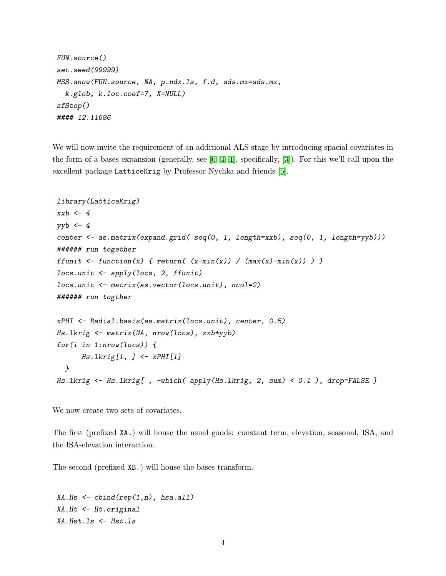```
FUN.source()
set.seed(99999)
MSS.snow(FUN.source, NA, p.ndx.ls, f.d, sds.mx=sds.mx,
 k.glob, k.loc.coef=7, X=NULL)
sfStop()
#### 12.11686
```
We will now invite the requirement of an additional ALS stage by introducing spacial covariates in the form of a bases expansion (generally, see  $[6, 4, 1]$  $[6, 4, 1]$  $[6, 4, 1]$ , specifically,  $[3]$ ). For this we'll call upon the excellent package LatticeKrig by Professor Nychka and friends [\[5\]](#page-11-5).

```
library(LatticeKrig)
xxb <- 4
yyb <- 4
center <- as.matrix(expand.grid( seq(0, 1, length=xxb), seq(0, 1, length=yyb)))
###### run together
ffunit \left\{ function(x) { return( (x-min(x)) / (max(x)-min(x)) }
locs.unit <- apply(locs, 2, ffunit)
locs.unit <- matrix(as.vector(locs.unit), ncol=2)
###### run togther
xPHI <- Radial.basis(as.matrix(locs.unit), center, 0.5)
Hs.lkrig <- matrix(NA, nrow(locs), xxb*yyb)
for(i in 1:nrow(locs)) {
      Hs.lkrig[i, ] <- xPHI[i]
  }
Hs.lkrig <- Hs.lkrig[ , -which( apply(Hs.lkrig, 2, sum) < 0.1 ), drop=FALSE ]
```
We now create two sets of covariates.

The first (prefixed XA.) will house the usual goods: constant term, elevation, seasonal, ISA, and the ISA-elevation interaction.

The second (prefixed XB.) will house the bases transform.

*XA.Hs <- cbind(rep(1,n), hsa.all) XA.Ht <- Ht.original XA.Hst.ls <- Hst.ls*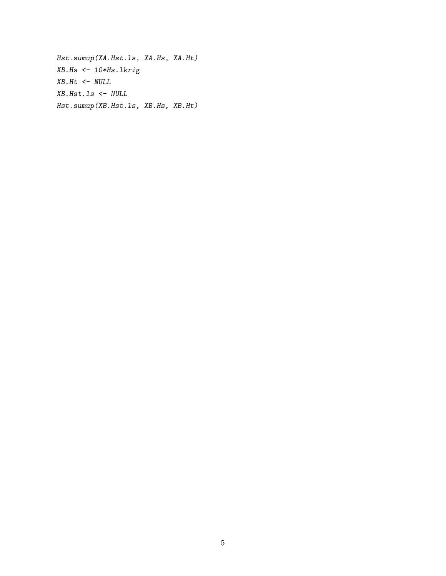*Hst.sumup(XA.Hst.ls, XA.Hs, XA.Ht) XB.Hs <- 10\*Hs.lkrig XB.Ht <- NULL XB.Hst.ls <- NULL Hst.sumup(XB.Hst.ls, XB.Hs, XB.Ht)*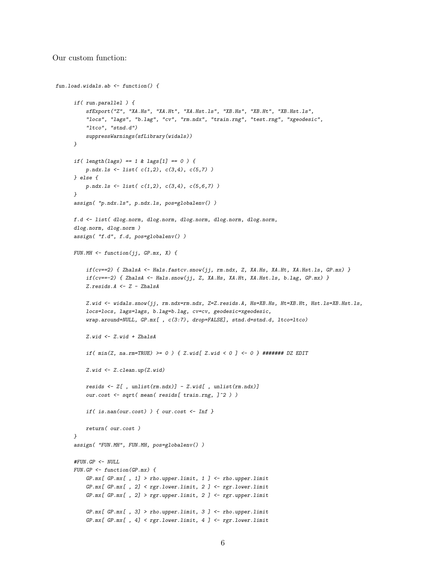#### Our custom function:

```
fun.load.widals.ab <- function() {
     if( run.parallel ) {
          sfExport("Z", "XA.Hs", "XA.Ht", "XA.Hst.ls", "XB.Hs", "XB.Ht", "XB.Hst.ls",
          "locs", "lags", "b.lag", "cv", "rm.ndx", "train.rng", "test.rng", "xgeodesic",
          "ltco", "stnd.d")
          suppressWarnings(sfLibrary(widals))
     }
     if( length(lags) == 1 & lags[1] == 0 ) {
         p.ndx.ls <- list( c(1,2), c(3,4), c(5,7) )
     } else {
         p.ndx.ls <- list( c(1,2), c(3,4), c(5,6,7) )
      }
     assign( "p.ndx.ls", p.ndx.ls, pos=globalenv() )
     f.d <- list( dlog.norm, dlog.norm, dlog.norm, dlog.norm, dlog.norm,
     dlog.norm, dlog.norm )
     assign( "f.d", f.d, pos=globalenv() )
     FUN.MH <- function(jj, GP.mx, X) {
          if(cv==2) { ZhalsA <- Hals.fastcv.snow(jj, rm.ndx, Z, XA.Hs, XA.Ht, XA.Hst.ls, GP.mx) }
          if(cv==-2) { ZhalsA <- Hals.snow(jj, Z, XA.Hs, XA.Ht, XA.Hst.ls, b.lag, GP.mx) }
         Z.resids.A <- Z - ZhalsA
          Z.wid <- widals.snow(jj, rm.ndx=rm.ndx, Z=Z.resids.A, Hs=XB.Hs, Ht=XB.Ht, Hst.ls=XB.Hst.ls,
          locs=locs, lags=lags, b.lag=b.lag, cv=cv, geodesic=xgeodesic,
          wrap.around=NULL, GP.mx[ , c(3:7), drop=FALSE], stnd.d=stnd.d, ltco=ltco)
          Z.wid <- Z.wid + ZhalsA
          if( min(Z, na.rm=TRUE) >= 0 ) { Z.wid[ Z.wid < 0 ] <- 0 } ####### DZ EDIT
         Z.wid <- Z.clean.up(Z.wid)
         resids <- Z[ , unlist(rm.ndx)] - Z.wid[ , unlist(rm.ndx)]
          our.cost <- sqrt( mean( resids[ train.rng, ]^2 ) )
          if( is.nan(our.cost) ) { our.cost <- Inf }
         return( our.cost )
     }
      assign( "FUN.MH", FUN.MH, pos=globalenv() )
     #FUN.GP <- NULL
     FUN.GP <- function(GP.mx) {
         GP.mx[ GP.mx[ , 1] > rho.upper.limit, 1 ] <- rho.upper.limit
         GP.mx[ GP.mx[ , 2] < rgr.lower.limit, 2 ] <- rgr.lower.limit
          GP.mx[ GP.mx[ , 2] > rgr.upper.limit, 2 ] <- rgr.upper.limit
          GP.mx[ GP.mx[ , 3] > rho.upper.limit, 3 ] <- rho.upper.limit
          GP.mx[ GP.mx[ , 4] < rgr.lower.limit, 4 ] <- rgr.lower.limit
```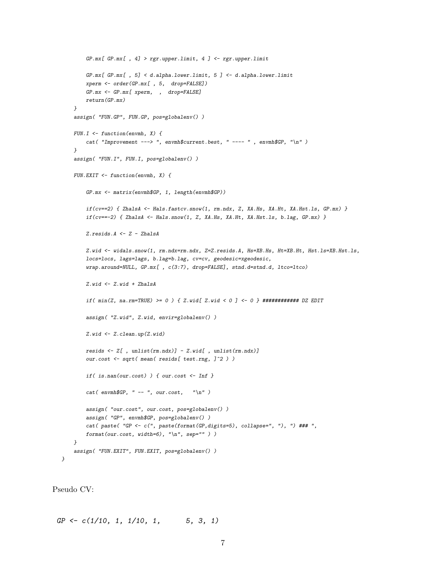```
GP.mx[ GP.mx[ , 4] > rgr.upper.limit, 4 ] <- rgr.upper.limit
    GP.mx[ GP.mx[ , 5] < d.alpha.lower.limit, 5 ] <- d.alpha.lower.limit
    xperm <- order(GP.mx[ , 5, drop=FALSE])
    GP.mx <- GP.mx[ xperm, , drop=FALSE]
   return(GP.mx)
}
assign( "FUN.GP", FUN.GP, pos=globalenv() )
FUN.I <- function(envmh, X) {
    cat( "Improvement ---> ", envmh$current.best, " ---- " , envmh$GP, "\n" )
}
assign( "FUN.I", FUN.I, pos=globalenv() )
FUN.EXIT <- function(envmh, X) {
   GP.mx <- matrix(envmh$GP, 1, length(envmh$GP))
    if(cv==2) { ZhalsA <- Hals.fastcv.snow(1, rm.ndx, Z, XA.Hs, XA.Ht, XA.Hst.ls, GP.mx) }
    if(cv==-2) { ZhalsA <- Hals.snow(1, Z, XA.Hs, XA.Ht, XA.Hst.ls, b.lag, GP.mx) }
   Z.resids.A <- Z - ZhalsA
   Z.wid <- widals.snow(1, rm.ndx=rm.ndx, Z=Z.resids.A, Hs=XB.Hs, Ht=XB.Ht, Hst.ls=XB.Hst.ls,
    locs=locs, lags=lags, b.lag=b.lag, cv=cv, geodesic=xgeodesic,
    wrap.around=NULL, GP.mx[ , c(3:7), drop=FALSE], stnd.d=stnd.d, ltco=ltco)
    Z.wid <- Z.wid + ZhalsA
   if( min(Z, na.rm=TRUE) >= 0 ) { Z.wid[ Z.wid < 0 ] <- 0 } ############ DZ EDIT
   assign( "Z.wid", Z.wid, envir=globalenv() )
    Z.wid <- Z.clean.up(Z.wid)
   resids <- Z[ , unlist(rm.ndx)] - Z.wid[ , unlist(rm.ndx)]
    our.cost <- sqrt( mean( resids[ test.rng, ]^2 ) )
    if( is.nan(our.cost) ) { our.cost <- Inf }
    cat( envmh$GP, " -- ", our.cost, "\n" )
   assign( "our.cost", our.cost, pos=globalenv() )
   assign( "GP", envmh$GP, pos=globalenv() )
    cat( paste( "GP <- c(", paste(format(GP,digits=5), collapse=", "), ") ### ",
   format(our.cost, width=6), "\n", sep="" ) )
}
assign( "FUN.EXIT", FUN.EXIT, pos=globalenv() )
```
Pseudo CV:

*}*

*GP <- c(1/10, 1, 1/10, 1, 5, 3, 1)*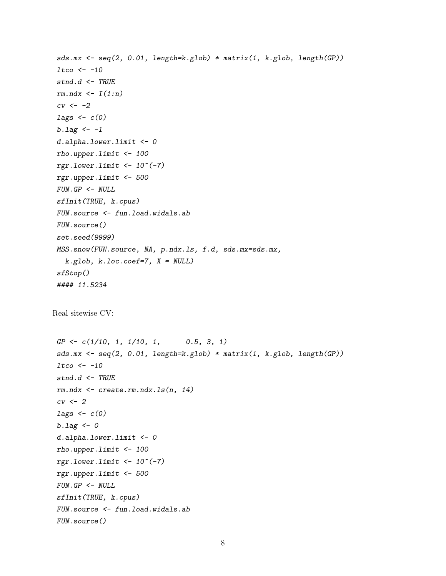```
sds.mx <- seq(2, 0.01, length=k.glob) * matrix(1, k.glob, length(GP))
ltco <- -10
 stnd.d <- TRUE
rm.ndx <- I(1:n)
cv <- -2
lags <- c(0)
b.lag <- -1
d.alpha.lower.limit <- 0
rho.upper.limit <- 100
rgr.lower.limit <- 10^(-7)
rgr.upper.limit <- 500
FUN.GP <- NULL
sfInit(TRUE, k.cpus)
FUN.source <- fun.load.widals.ab
FUN.source()
set.seed(9999)
MSS.snow(FUN.source, NA, p.ndx.ls, f.d, sds.mx=sds.mx,
  k.glob, k.loc.coef=7, X = NULL)
 sfStop()
 #### 11.5234
Real sitewise CV:
GP <- c(1/10, 1, 1/10, 1, 0.5, 3, 1)
sds.mx <- seq(2, 0.01, length=k.glob) * matrix(1, k.glob, length(GP))
ltco <- -10
stnd.d <- TRUE
rm.ndx <- create.rm.ndx.ls(n, 14)
cv <- 2
 lags <- c(0)
 b.lag <- 0
d.alpha.lower.limit <- 0
rho.upper.limit <- 100
rgr.lower.limit <- 10^(-7)
rgr.upper.limit <- 500
FUN.GP <- NULL
sfInit(TRUE, k.cpus)
FUN.source <- fun.load.widals.ab
FUN.source()
```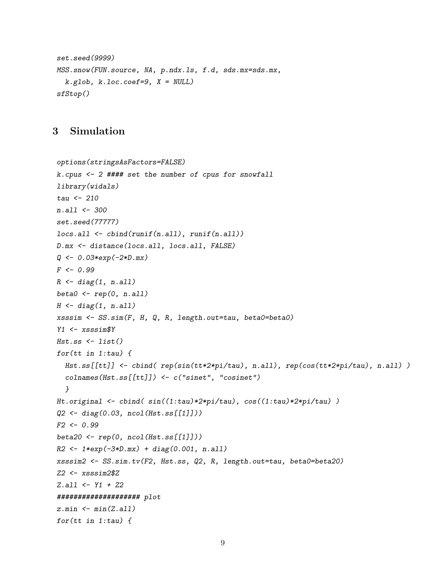```
set.seed(9999)
MSS.snow(FUN.source, NA, p.ndx.ls, f.d, sds.mx=sds.mx,
  k.glob, k.loc.coef=9, X = NULL)
sfStop()
```
### <span id="page-8-0"></span>3 Simulation

```
options(stringsAsFactors=FALSE)
k.cpus <- 2 #### set the number of cpus for snowfall
library(widals)
tau <- 210
n.all <- 300
set.seed(77777)
locs.all <- cbind(runif(n.all), runif(n.all))
D.mx <- distance(locs.all, locs.all, FALSE)
Q <- 0.03*exp(-2*D.mx)
F <- 0.99
R <- diag(1, n.all)
beta0 <- rep(0, n.all)
H <- diag(1, n.all)
xsssim <- SS.sim(F, H, Q, R, length.out=tau, beta0=beta0)
Y1 <- xsssim$Y
Hst.ss <- list()
for(tt in 1:tau) {
  Hst.ss[[tt]] <- cbind( rep(sin(tt*2*pi/tau), n.all), rep(cos(tt*2*pi/tau), n.all) )
  colnames(Hst.ss[[tt]]) <- c("sinet", "cosinet")
  }
Ht.original <- cbind( sin((1:tau)*2*pi/tau), cos((1:tau)*2*pi/tau) )
Q2 <- diag(0.03, ncol(Hst.ss[[1]]))
F2 <- 0.99
beta20 <- rep(0, ncol(Hst.ss[[1]]))
R2 <- 1*exp(-3*D.mx) + diag(0.001, n.all)
xsssim2 <- SS.sim.tv(F2, Hst.ss, Q2, R, length.out=tau, beta0=beta20)
Z2 <- xsssim2$Z
Z.all <- Y1 + Z2
#################### plot
z.min <- min(Z.all)
for(tt in 1:tau) {
```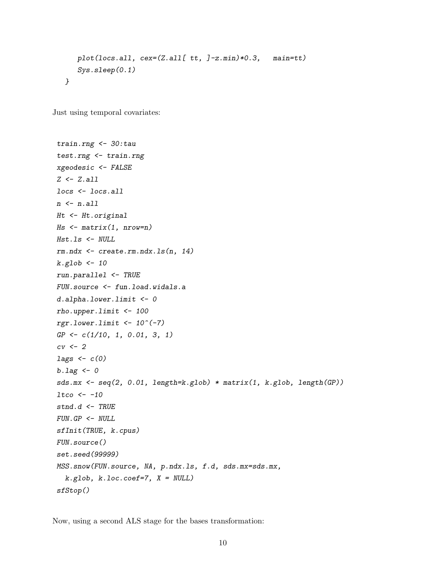```
plot(locs.all, cex=(Z.all[ tt, ]-z.min)*0.3, main=tt)
   Sys.sleep(0.1)
}
```
Just using temporal covariates:

```
train.rng <- 30:tau
test.rng <- train.rng
xgeodesic <- FALSE
Z <- Z.all
locs <- locs.all
n <- n.all
Ht <- Ht.original
Hs <- matrix(1, nrow=n)
Hst.ls <- NULL
rm.ndx <- create.rm.ndx.ls(n, 14)
k.glob <- 10
run.parallel <- TRUE
FUN.source <- fun.load.widals.a
d.alpha.lower.limit <- 0
rho.upper.limit <- 100
rgr.lower.limit <- 10^(-7)
GP <- c(1/10, 1, 0.01, 3, 1)
cv <- 2
lags <- c(0)
b.lag <- 0
sds.mx <- seq(2, 0.01, length=k.glob) * matrix(1, k.glob, length(GP))
ltco <- -10
stnd.d <- TRUE
FUN.GP <- NULL
sfInit(TRUE, k.cpus)
FUN.source()
set.seed(99999)
MSS.snow(FUN.source, NA, p.ndx.ls, f.d, sds.mx=sds.mx,
  k.glob, k.loc.coef=7, X = NULL)
sfStop()
```
Now, using a second ALS stage for the bases transformation: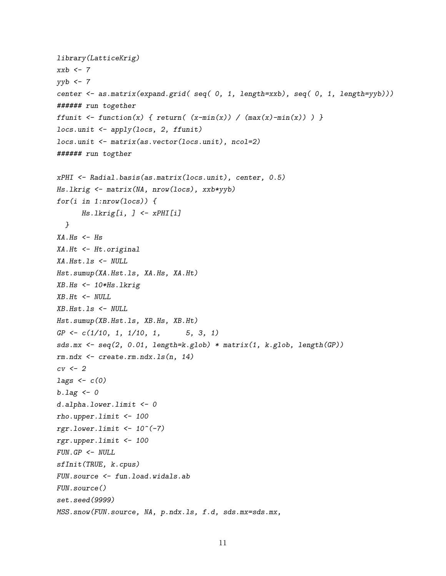```
library(LatticeKrig)
xxb <- 7
yyb <- 7
center <- as.matrix(expand.grid( seq( 0, 1, length=xxb), seq( 0, 1, length=yyb)))
###### run together
ffunit <- function(x) { return( (x-min(x)) / (max(x)-min(x)) }
locs.unit <- apply(locs, 2, ffunit)
locs.unit <- matrix(as.vector(locs.unit), ncol=2)
###### run togther
xPHI <- Radial.basis(as.matrix(locs.unit), center, 0.5)
Hs.lkrig <- matrix(NA, nrow(locs), xxb*yyb)
for(i in 1:nrow(locs)) {
      Hs.lkrig[i, ] <- xPHI[i]
  }
XA.Hs <- Hs
XA.Ht <- Ht.original
XA.Hst.ls <- NULL
Hst.sumup(XA.Hst.ls, XA.Hs, XA.Ht)
XB.Hs <- 10*Hs.lkrig
XB.Ht <- NULL
XB.Hst.ls <- NULL
Hst.sumup(XB.Hst.ls, XB.Hs, XB.Ht)
GP <- c(1/10, 1, 1/10, 1, 5, 3, 1)
sds.mx <- seq(2, 0.01, length=k.glob) * matrix(1, k.glob, length(GP))
rm.ndx <- create.rm.ndx.ls(n, 14)
cv <- 2
lags <- c(0)
b.lag <- 0
d.alpha.lower.limit <- 0
rho.upper.limit <- 100
rgr.lower.limit <- 10^(-7)
rgr.upper.limit <- 100
FUN.GP <- NULL
sfInit(TRUE, k.cpus)
FUN.source <- fun.load.widals.ab
FUN.source()
set.seed(9999)
MSS.snow(FUN.source, NA, p.ndx.ls, f.d, sds.mx=sds.mx,
```